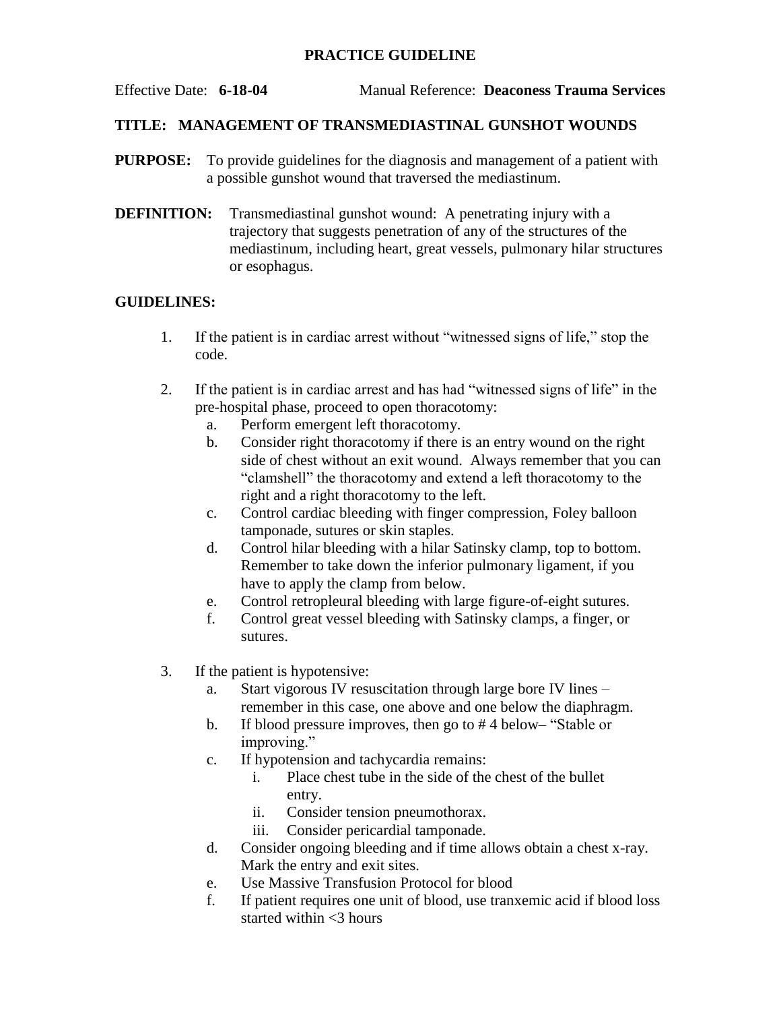## **PRACTICE GUIDELINE**

Effective Date: **6-18-04** Manual Reference: **Deaconess Trauma Services**

## **TITLE: MANAGEMENT OF TRANSMEDIASTINAL GUNSHOT WOUNDS**

- **PURPOSE:** To provide guidelines for the diagnosis and management of a patient with a possible gunshot wound that traversed the mediastinum.
- **DEFINITION:** Transmediastinal gunshot wound: A penetrating injury with a trajectory that suggests penetration of any of the structures of the mediastinum, including heart, great vessels, pulmonary hilar structures or esophagus.

## **GUIDELINES:**

- 1. If the patient is in cardiac arrest without "witnessed signs of life," stop the code.
- 2. If the patient is in cardiac arrest and has had "witnessed signs of life" in the pre-hospital phase, proceed to open thoracotomy:
	- a. Perform emergent left thoracotomy.
	- b. Consider right thoracotomy if there is an entry wound on the right side of chest without an exit wound. Always remember that you can "clamshell" the thoracotomy and extend a left thoracotomy to the right and a right thoracotomy to the left.
	- c. Control cardiac bleeding with finger compression, Foley balloon tamponade, sutures or skin staples.
	- d. Control hilar bleeding with a hilar Satinsky clamp, top to bottom. Remember to take down the inferior pulmonary ligament, if you have to apply the clamp from below.
	- e. Control retropleural bleeding with large figure-of-eight sutures.
	- f. Control great vessel bleeding with Satinsky clamps, a finger, or sutures.
- 3. If the patient is hypotensive:
	- a. Start vigorous IV resuscitation through large bore IV lines remember in this case, one above and one below the diaphragm.
	- b. If blood pressure improves, then go to # 4 below– "Stable or improving."
	- c. If hypotension and tachycardia remains:
		- i. Place chest tube in the side of the chest of the bullet entry.
		- ii. Consider tension pneumothorax.
		- iii. Consider pericardial tamponade.
	- d. Consider ongoing bleeding and if time allows obtain a chest x-ray. Mark the entry and exit sites.
	- e. Use Massive Transfusion Protocol for blood
	- f. If patient requires one unit of blood, use tranxemic acid if blood loss started within  $<$ 3 hours